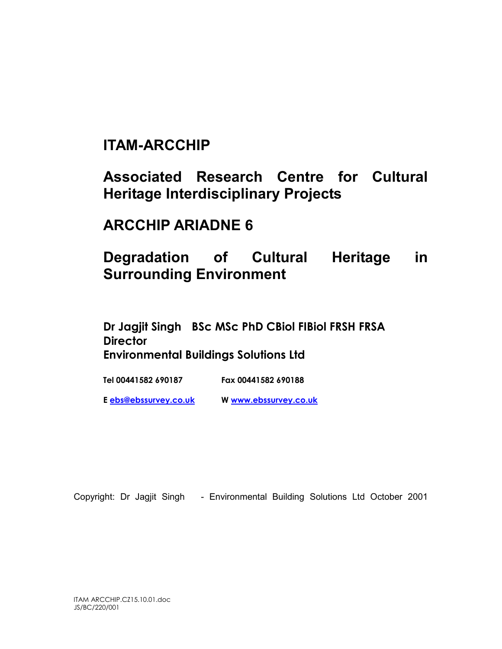# ITAM-ARCCHIP

Associated Research Centre for Cultural Heritage Interdisciplinary Projects

## ARCCHIP ARIADNE 6

# Degradation of Cultural Heritage in Surrounding Environment

Dr Jagjit Singh BSc MSc PhD CBiol FIBiol FRSH FRSA **Director** Environmental Buildings Solutions Ltd

Tel 00441582 690187 Fax 00441582 690188

E ebs@ebssurvey.co.uk W www.ebssurvey.co.uk

Copyright: Dr Jagjit Singh - Environmental Building Solutions Ltd October 2001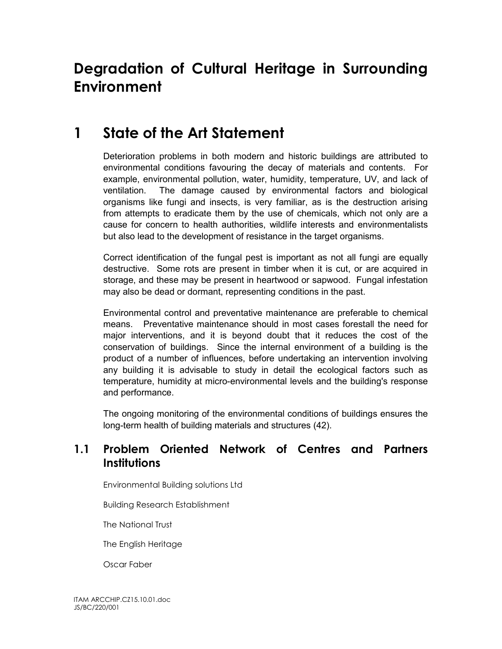# Degradation of Cultural Heritage in Surrounding Environment

# 1 State of the Art Statement

Deterioration problems in both modern and historic buildings are attributed to environmental conditions favouring the decay of materials and contents. For example, environmental pollution, water, humidity, temperature, UV, and lack of ventilation. The damage caused by environmental factors and biological organisms like fungi and insects, is very familiar, as is the destruction arising from attempts to eradicate them by the use of chemicals, which not only are a cause for concern to health authorities, wildlife interests and environmentalists but also lead to the development of resistance in the target organisms.

Correct identification of the fungal pest is important as not all fungi are equally destructive. Some rots are present in timber when it is cut, or are acquired in storage, and these may be present in heartwood or sapwood. Fungal infestation may also be dead or dormant, representing conditions in the past.

Environmental control and preventative maintenance are preferable to chemical means. Preventative maintenance should in most cases forestall the need for major interventions, and it is beyond doubt that it reduces the cost of the conservation of buildings. Since the internal environment of a building is the product of a number of influences, before undertaking an intervention involving any building it is advisable to study in detail the ecological factors such as temperature, humidity at micro-environmental levels and the building's response and performance.

The ongoing monitoring of the environmental conditions of buildings ensures the long-term health of building materials and structures (42).

### 1.1 Problem Oriented Network of Centres and Partners **Institutions**

Environmental Building solutions Ltd

Building Research Establishment

The National Trust

The English Heritage

Oscar Faber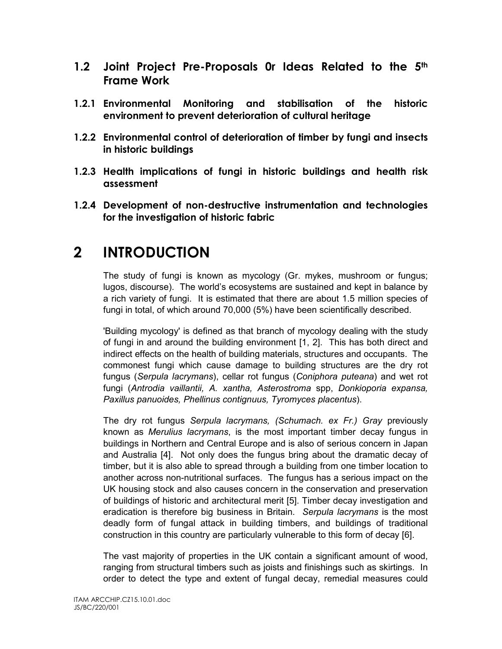- 1.2 Joint Project Pre-Proposals Or Ideas Related to the 5th Frame Work
- 1.2.1 Environmental Monitoring and stabilisation of the historic environment to prevent deterioration of cultural heritage
- 1.2.2 Environmental control of deterioration of timber by fungi and insects in historic buildings
- 1.2.3 Health implications of fungi in historic buildings and health risk assessment
- 1.2.4 Development of non-destructive instrumentation and technologies for the investigation of historic fabric

# 2 INTRODUCTION

The study of fungi is known as mycology (Gr. mykes, mushroom or fungus; lugos, discourse). The world's ecosystems are sustained and kept in balance by a rich variety of fungi. It is estimated that there are about 1.5 million species of fungi in total, of which around 70,000 (5%) have been scientifically described.

'Building mycology' is defined as that branch of mycology dealing with the study of fungi in and around the building environment [1, 2]. This has both direct and indirect effects on the health of building materials, structures and occupants. The commonest fungi which cause damage to building structures are the dry rot fungus (Serpula lacrymans), cellar rot fungus (Coniphora puteana) and wet rot fungi (Antrodia vaillantii, A. xantha, Asterostroma spp, Donkioporia expansa, Paxillus panuoides, Phellinus contignuus, Tyromyces placentus).

The dry rot fungus Serpula lacrymans, (Schumach. ex Fr.) Gray previously known as Merulius lacrymans, is the most important timber decay fungus in buildings in Northern and Central Europe and is also of serious concern in Japan and Australia [4]. Not only does the fungus bring about the dramatic decay of timber, but it is also able to spread through a building from one timber location to another across non-nutritional surfaces. The fungus has a serious impact on the UK housing stock and also causes concern in the conservation and preservation of buildings of historic and architectural merit [5]. Timber decay investigation and eradication is therefore big business in Britain. Serpula lacrymans is the most deadly form of fungal attack in building timbers, and buildings of traditional construction in this country are particularly vulnerable to this form of decay [6].

The vast majority of properties in the UK contain a significant amount of wood, ranging from structural timbers such as joists and finishings such as skirtings. In order to detect the type and extent of fungal decay, remedial measures could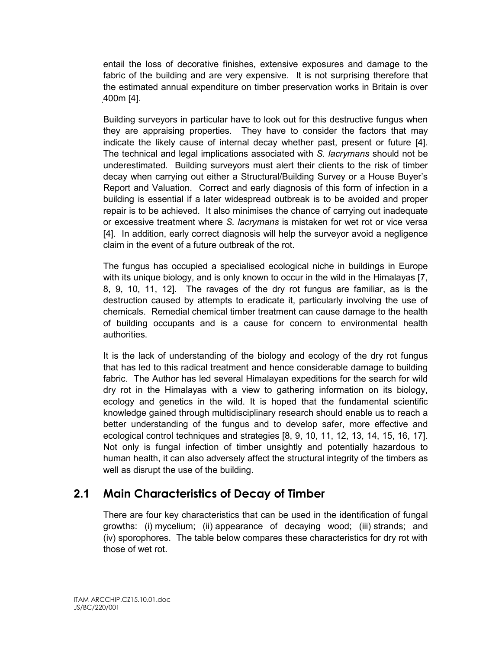entail the loss of decorative finishes, extensive exposures and damage to the fabric of the building and are very expensive. It is not surprising therefore that the estimated annual expenditure on timber preservation works in Britain is over 400m [4].

Building surveyors in particular have to look out for this destructive fungus when they are appraising properties. They have to consider the factors that may indicate the likely cause of internal decay whether past, present or future [4]. The technical and legal implications associated with S. lacrymans should not be underestimated. Building surveyors must alert their clients to the risk of timber decay when carrying out either a Structural/Building Survey or a House Buyer's Report and Valuation. Correct and early diagnosis of this form of infection in a building is essential if a later widespread outbreak is to be avoided and proper repair is to be achieved. It also minimises the chance of carrying out inadequate or excessive treatment where S. lacrymans is mistaken for wet rot or vice versa [4]. In addition, early correct diagnosis will help the surveyor avoid a negligence claim in the event of a future outbreak of the rot.

The fungus has occupied a specialised ecological niche in buildings in Europe with its unique biology, and is only known to occur in the wild in the Himalayas [7, 8, 9, 10, 11, 12]. The ravages of the dry rot fungus are familiar, as is the destruction caused by attempts to eradicate it, particularly involving the use of chemicals. Remedial chemical timber treatment can cause damage to the health of building occupants and is a cause for concern to environmental health authorities.

It is the lack of understanding of the biology and ecology of the dry rot fungus that has led to this radical treatment and hence considerable damage to building fabric. The Author has led several Himalayan expeditions for the search for wild dry rot in the Himalayas with a view to gathering information on its biology, ecology and genetics in the wild. It is hoped that the fundamental scientific knowledge gained through multidisciplinary research should enable us to reach a better understanding of the fungus and to develop safer, more effective and ecological control techniques and strategies [8, 9, 10, 11, 12, 13, 14, 15, 16, 17]. Not only is fungal infection of timber unsightly and potentially hazardous to human health, it can also adversely affect the structural integrity of the timbers as well as disrupt the use of the building.

### 2.1 Main Characteristics of Decay of Timber

There are four key characteristics that can be used in the identification of fungal growths: (i) mycelium; (ii) appearance of decaying wood; (iii) strands; and (iv) sporophores. The table below compares these characteristics for dry rot with those of wet rot.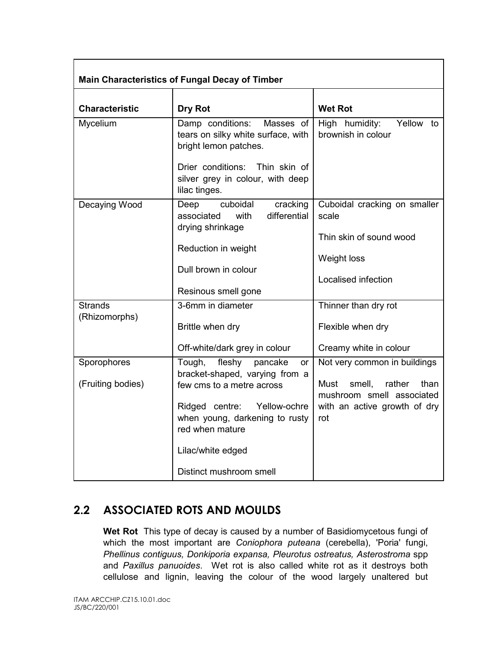| <b>Main Characteristics of Fungal Decay of Timber</b> |                                                                                                                                                                                                                                         |                                                                                                                                      |  |  |
|-------------------------------------------------------|-----------------------------------------------------------------------------------------------------------------------------------------------------------------------------------------------------------------------------------------|--------------------------------------------------------------------------------------------------------------------------------------|--|--|
| <b>Characteristic</b>                                 | Dry Rot                                                                                                                                                                                                                                 | <b>Wet Rot</b>                                                                                                                       |  |  |
| Mycelium                                              | Damp conditions:<br>Masses of<br>tears on silky white surface, with<br>bright lemon patches.<br>Drier conditions:<br>Thin skin of<br>silver grey in colour, with deep<br>lilac tinges.                                                  | Yellow to<br>High humidity:<br>brownish in colour                                                                                    |  |  |
| Decaying Wood                                         | cuboidal<br>cracking<br>Deep<br>differential<br>associated<br>with<br>drying shrinkage<br>Reduction in weight<br>Dull brown in colour<br>Resinous smell gone                                                                            | Cuboidal cracking on smaller<br>scale<br>Thin skin of sound wood<br>Weight loss<br>Localised infection                               |  |  |
| <b>Strands</b><br>(Rhizomorphs)                       | 3-6mm in diameter<br>Brittle when dry<br>Off-white/dark grey in colour                                                                                                                                                                  | Thinner than dry rot<br>Flexible when dry<br>Creamy white in colour                                                                  |  |  |
| Sporophores<br>(Fruiting bodies)                      | Tough,<br>fleshy<br>pancake<br>or<br>bracket-shaped, varying from a<br>few cms to a metre across<br>Ridged centre:<br>Yellow-ochre<br>when young, darkening to rusty<br>red when mature<br>Lilac/white edged<br>Distinct mushroom smell | Not very common in buildings<br>smell,<br>rather<br>Must<br>than<br>mushroom smell associated<br>with an active growth of dry<br>rot |  |  |

## 2.2 ASSOCIATED ROTS AND MOULDS

Wet Rot This type of decay is caused by a number of Basidiomycetous fungi of which the most important are Coniophora puteana (cerebella), 'Poria' fungi, Phellinus contiguus, Donkiporia expansa, Pleurotus ostreatus, Asterostroma spp and Paxillus panuoides. Wet rot is also called white rot as it destroys both cellulose and lignin, leaving the colour of the wood largely unaltered but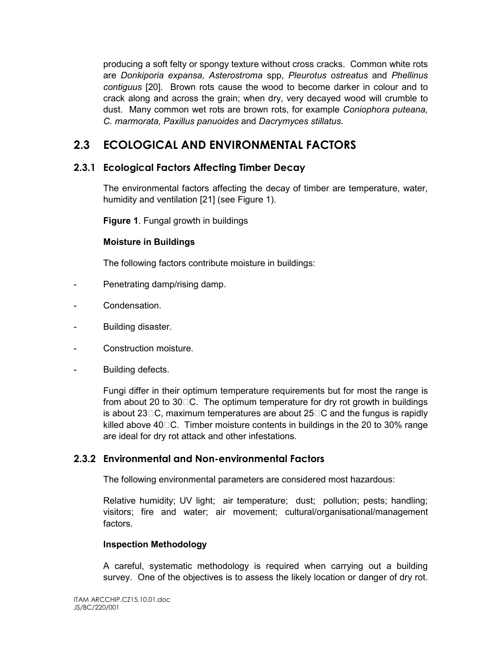producing a soft felty or spongy texture without cross cracks. Common white rots are Donkiporia expansa, Asterostroma spp, Pleurotus ostreatus and Phellinus contiguus [20]. Brown rots cause the wood to become darker in colour and to crack along and across the grain; when dry, very decayed wood will crumble to dust. Many common wet rots are brown rots, for example Coniophora puteana, C. marmorata, Paxillus panuoides and Dacrymyces stillatus.

## 2.3 ECOLOGICAL AND ENVIRONMENTAL FACTORS

#### 2.3.1 Ecological Factors Affecting Timber Decay

The environmental factors affecting the decay of timber are temperature, water, humidity and ventilation [21] (see Figure 1).

Figure 1. Fungal growth in buildings

#### Moisture in Buildings

The following factors contribute moisture in buildings:

- Penetrating damp/rising damp.
- Condensation.
- Building disaster.
- Construction moisture.
- Building defects.

Fungi differ in their optimum temperature requirements but for most the range is from about 20 to  $30\,\text{C}$ . The optimum temperature for dry rot growth in buildings is about 23 $\Box$ C, maximum temperatures are about 25 $\Box$ C and the fungus is rapidly killed above  $40\degree$ C. Timber moisture contents in buildings in the 20 to 30% range are ideal for dry rot attack and other infestations.

#### 2.3.2 Environmental and Non-environmental Factors

The following environmental parameters are considered most hazardous:

Relative humidity; UV light; air temperature; dust; pollution; pests; handling; visitors; fire and water; air movement; cultural/organisational/management factors.

#### Inspection Methodology

A careful, systematic methodology is required when carrying out a building survey. One of the objectives is to assess the likely location or danger of dry rot.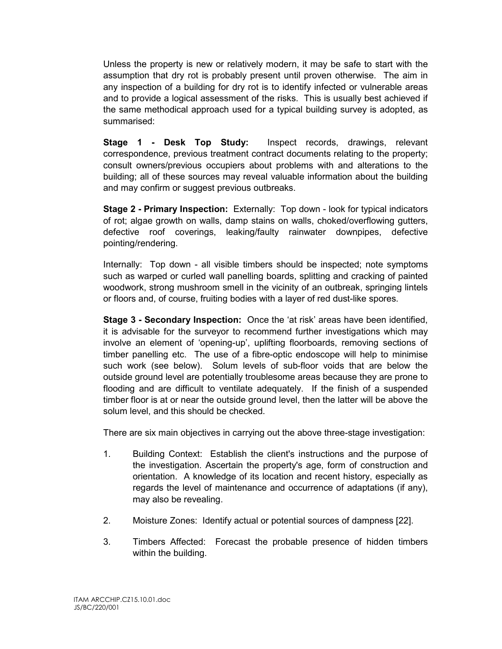Unless the property is new or relatively modern, it may be safe to start with the assumption that dry rot is probably present until proven otherwise. The aim in any inspection of a building for dry rot is to identify infected or vulnerable areas and to provide a logical assessment of the risks. This is usually best achieved if the same methodical approach used for a typical building survey is adopted, as summarised:

Stage 1 - Desk Top Study: Inspect records, drawings, relevant correspondence, previous treatment contract documents relating to the property; consult owners/previous occupiers about problems with and alterations to the building; all of these sources may reveal valuable information about the building and may confirm or suggest previous outbreaks.

Stage 2 - Primary Inspection: Externally: Top down - look for typical indicators of rot; algae growth on walls, damp stains on walls, choked/overflowing gutters, defective roof coverings, leaking/faulty rainwater downpipes, defective pointing/rendering.

Internally: Top down - all visible timbers should be inspected; note symptoms such as warped or curled wall panelling boards, splitting and cracking of painted woodwork, strong mushroom smell in the vicinity of an outbreak, springing lintels or floors and, of course, fruiting bodies with a layer of red dust-like spores.

Stage 3 - Secondary Inspection: Once the 'at risk' areas have been identified, it is advisable for the surveyor to recommend further investigations which may involve an element of 'opening-up', uplifting floorboards, removing sections of timber panelling etc. The use of a fibre-optic endoscope will help to minimise such work (see below). Solum levels of sub-floor voids that are below the outside ground level are potentially troublesome areas because they are prone to flooding and are difficult to ventilate adequately. If the finish of a suspended timber floor is at or near the outside ground level, then the latter will be above the solum level, and this should be checked.

There are six main objectives in carrying out the above three-stage investigation:

- 1. Building Context: Establish the client's instructions and the purpose of the investigation. Ascertain the property's age, form of construction and orientation. A knowledge of its location and recent history, especially as regards the level of maintenance and occurrence of adaptations (if any), may also be revealing.
- 2. Moisture Zones: Identify actual or potential sources of dampness [22].
- 3. Timbers Affected: Forecast the probable presence of hidden timbers within the building.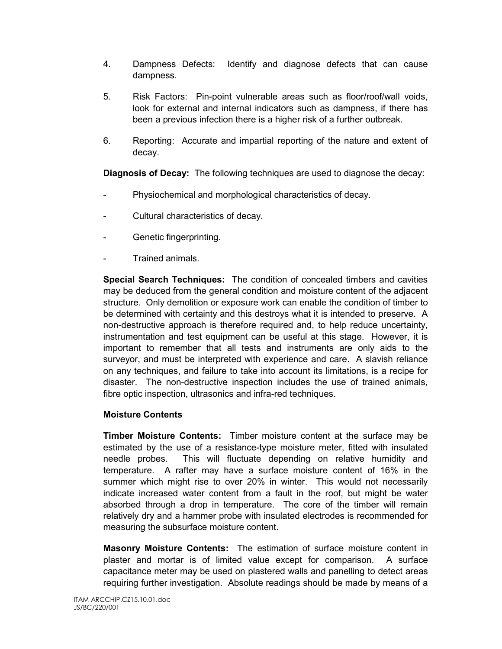- 4. Dampness Defects: Identify and diagnose defects that can cause dampness.
- 5. Risk Factors: Pin-point vulnerable areas such as floor/roof/wall voids, look for external and internal indicators such as dampness, if there has been a previous infection there is a higher risk of a further outbreak.
- 6. Reporting: Accurate and impartial reporting of the nature and extent of decay.

Diagnosis of Decay: The following techniques are used to diagnose the decay:

- Physiochemical and morphological characteristics of decay.
- Cultural characteristics of decay.
- Genetic fingerprinting.
- Trained animals.

Special Search Techniques: The condition of concealed timbers and cavities may be deduced from the general condition and moisture content of the adjacent structure. Only demolition or exposure work can enable the condition of timber to be determined with certainty and this destroys what it is intended to preserve. A non-destructive approach is therefore required and, to help reduce uncertainty, instrumentation and test equipment can be useful at this stage. However, it is important to remember that all tests and instruments are only aids to the surveyor, and must be interpreted with experience and care. A slavish reliance on any techniques, and failure to take into account its limitations, is a recipe for disaster. The non-destructive inspection includes the use of trained animals, fibre optic inspection, ultrasonics and infra-red techniques.

#### Moisture Contents

Timber Moisture Contents: Timber moisture content at the surface may be estimated by the use of a resistance-type moisture meter, fitted with insulated needle probes. This will fluctuate depending on relative humidity and temperature. A rafter may have a surface moisture content of 16% in the summer which might rise to over 20% in winter. This would not necessarily indicate increased water content from a fault in the roof, but might be water absorbed through a drop in temperature. The core of the timber will remain relatively dry and a hammer probe with insulated electrodes is recommended for measuring the subsurface moisture content.

Masonry Moisture Contents: The estimation of surface moisture content in plaster and mortar is of limited value except for comparison. A surface capacitance meter may be used on plastered walls and panelling to detect areas requiring further investigation. Absolute readings should be made by means of a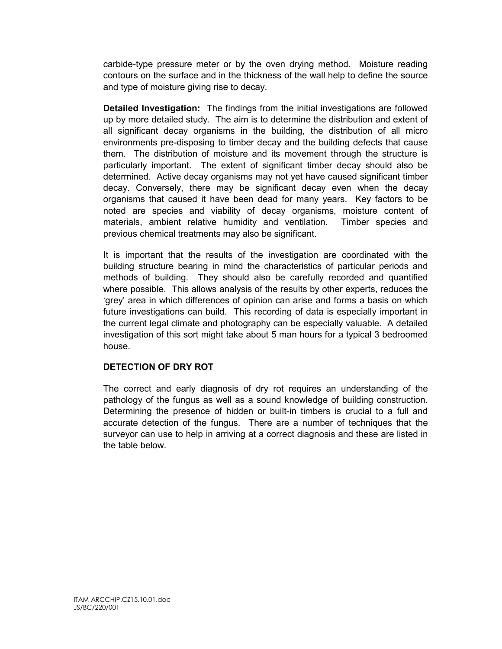carbide-type pressure meter or by the oven drying method. Moisture reading contours on the surface and in the thickness of the wall help to define the source and type of moisture giving rise to decay.

Detailed Investigation: The findings from the initial investigations are followed up by more detailed study. The aim is to determine the distribution and extent of all significant decay organisms in the building, the distribution of all micro environments pre-disposing to timber decay and the building defects that cause them. The distribution of moisture and its movement through the structure is particularly important. The extent of significant timber decay should also be determined. Active decay organisms may not yet have caused significant timber decay. Conversely, there may be significant decay even when the decay organisms that caused it have been dead for many years. Key factors to be noted are species and viability of decay organisms, moisture content of materials, ambient relative humidity and ventilation. Timber species and previous chemical treatments may also be significant.

It is important that the results of the investigation are coordinated with the building structure bearing in mind the characteristics of particular periods and methods of building. They should also be carefully recorded and quantified where possible. This allows analysis of the results by other experts, reduces the 'grey' area in which differences of opinion can arise and forms a basis on which future investigations can build. This recording of data is especially important in the current legal climate and photography can be especially valuable. A detailed investigation of this sort might take about 5 man hours for a typical 3 bedroomed house.

#### DETECTION OF DRY ROT

The correct and early diagnosis of dry rot requires an understanding of the pathology of the fungus as well as a sound knowledge of building construction. Determining the presence of hidden or built-in timbers is crucial to a full and accurate detection of the fungus. There are a number of techniques that the surveyor can use to help in arriving at a correct diagnosis and these are listed in the table below.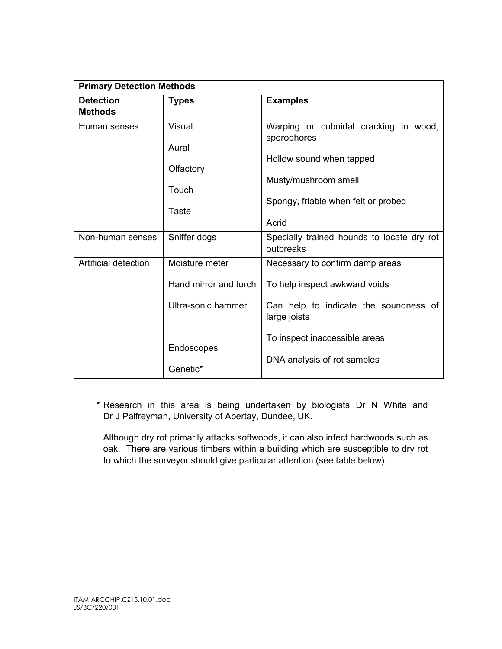| <b>Primary Detection Methods</b> |                        |                                                         |  |
|----------------------------------|------------------------|---------------------------------------------------------|--|
| <b>Detection</b>                 | <b>Types</b>           | <b>Examples</b>                                         |  |
| <b>Methods</b>                   |                        |                                                         |  |
| Human senses                     | <b>Visual</b><br>Aural | Warping or cuboidal cracking in wood,<br>sporophores    |  |
|                                  | Olfactory              | Hollow sound when tapped                                |  |
|                                  | Touch                  | Musty/mushroom smell                                    |  |
|                                  | <b>Taste</b>           | Spongy, friable when felt or probed                     |  |
|                                  |                        | Acrid                                                   |  |
| Non-human senses                 | Sniffer dogs           | Specially trained hounds to locate dry rot<br>outbreaks |  |
| Artificial detection             | Moisture meter         | Necessary to confirm damp areas                         |  |
|                                  | Hand mirror and torch  | To help inspect awkward voids                           |  |
|                                  | Ultra-sonic hammer     | Can help to indicate the soundness of<br>large joists   |  |
|                                  | Endoscopes             | To inspect inaccessible areas                           |  |
|                                  | Genetic*               | DNA analysis of rot samples                             |  |

 \* Research in this area is being undertaken by biologists Dr N White and Dr J Palfreyman, University of Abertay, Dundee, UK.

Although dry rot primarily attacks softwoods, it can also infect hardwoods such as oak. There are various timbers within a building which are susceptible to dry rot to which the surveyor should give particular attention (see table below).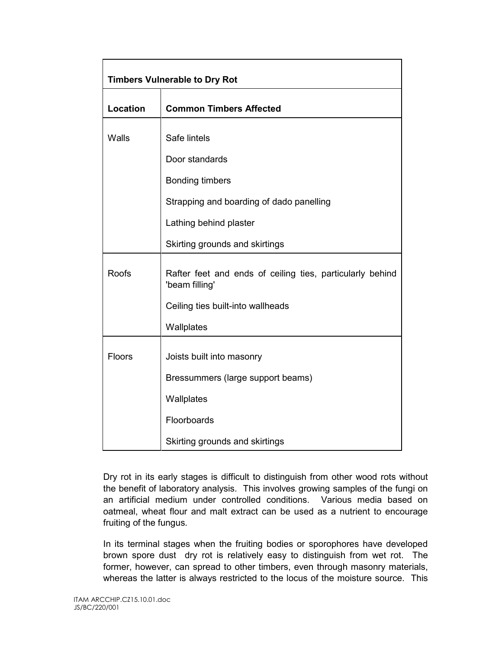| <b>Timbers Vulnerable to Dry Rot</b> |                                                                             |  |  |
|--------------------------------------|-----------------------------------------------------------------------------|--|--|
| <b>Location</b>                      | <b>Common Timbers Affected</b>                                              |  |  |
| Walls                                | Safe lintels                                                                |  |  |
|                                      | Door standards                                                              |  |  |
|                                      | <b>Bonding timbers</b>                                                      |  |  |
|                                      | Strapping and boarding of dado panelling                                    |  |  |
|                                      | Lathing behind plaster                                                      |  |  |
|                                      | Skirting grounds and skirtings                                              |  |  |
| <b>Roofs</b>                         | Rafter feet and ends of ceiling ties, particularly behind<br>'beam filling' |  |  |
|                                      | Ceiling ties built-into wallheads                                           |  |  |
|                                      | Wallplates                                                                  |  |  |
| Floors                               | Joists built into masonry                                                   |  |  |
|                                      | Bressummers (large support beams)                                           |  |  |
|                                      | Wallplates                                                                  |  |  |
|                                      | Floorboards                                                                 |  |  |
|                                      | Skirting grounds and skirtings                                              |  |  |

Dry rot in its early stages is difficult to distinguish from other wood rots without the benefit of laboratory analysis. This involves growing samples of the fungi on an artificial medium under controlled conditions. Various media based on oatmeal, wheat flour and malt extract can be used as a nutrient to encourage fruiting of the fungus.

In its terminal stages when the fruiting bodies or sporophores have developed brown spore dust dry rot is relatively easy to distinguish from wet rot. The former, however, can spread to other timbers, even through masonry materials, whereas the latter is always restricted to the locus of the moisture source. This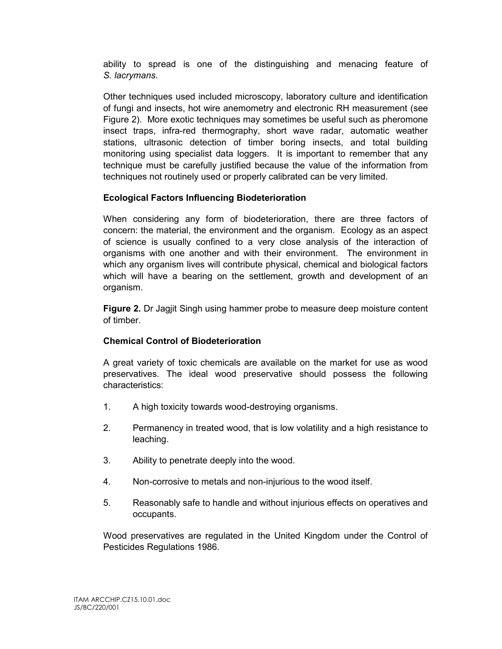ability to spread is one of the distinguishing and menacing feature of S. lacrymans.

Other techniques used included microscopy, laboratory culture and identification of fungi and insects, hot wire anemometry and electronic RH measurement (see Figure 2). More exotic techniques may sometimes be useful such as pheromone insect traps, infra-red thermography, short wave radar, automatic weather stations, ultrasonic detection of timber boring insects, and total building monitoring using specialist data loggers. It is important to remember that any technique must be carefully justified because the value of the information from techniques not routinely used or properly calibrated can be very limited.

#### Ecological Factors Influencing Biodeterioration

When considering any form of biodeterioration, there are three factors of concern: the material, the environment and the organism. Ecology as an aspect of science is usually confined to a very close analysis of the interaction of organisms with one another and with their environment. The environment in which any organism lives will contribute physical, chemical and biological factors which will have a bearing on the settlement, growth and development of an organism.

Figure 2. Dr Jagjit Singh using hammer probe to measure deep moisture content of timber.

#### Chemical Control of Biodeterioration

A great variety of toxic chemicals are available on the market for use as wood preservatives. The ideal wood preservative should possess the following characteristics:

- 1. A high toxicity towards wood-destroying organisms.
- 2. Permanency in treated wood, that is low volatility and a high resistance to leaching.
- 3. Ability to penetrate deeply into the wood.
- 4. Non-corrosive to metals and non-injurious to the wood itself.
- 5. Reasonably safe to handle and without injurious effects on operatives and occupants.

Wood preservatives are regulated in the United Kingdom under the Control of Pesticides Regulations 1986.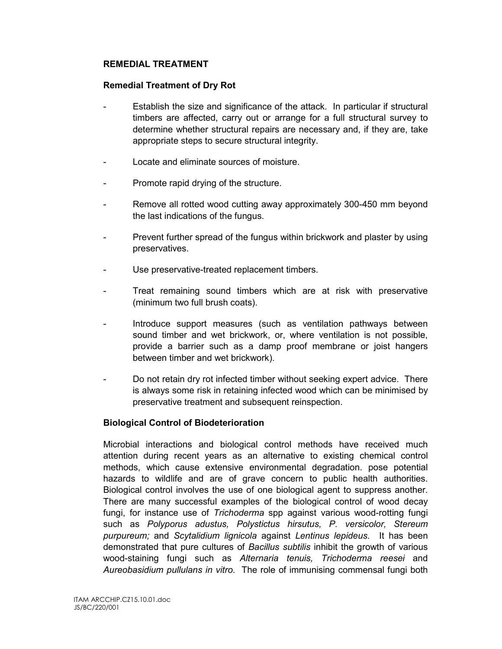#### REMEDIAL TREATMENT

#### Remedial Treatment of Dry Rot

- Establish the size and significance of the attack. In particular if structural timbers are affected, carry out or arrange for a full structural survey to determine whether structural repairs are necessary and, if they are, take appropriate steps to secure structural integrity.
- Locate and eliminate sources of moisture.
- Promote rapid drying of the structure.
- Remove all rotted wood cutting away approximately 300-450 mm beyond the last indications of the fungus.
- Prevent further spread of the fungus within brickwork and plaster by using preservatives.
- Use preservative-treated replacement timbers.
- Treat remaining sound timbers which are at risk with preservative (minimum two full brush coats).
- Introduce support measures (such as ventilation pathways between sound timber and wet brickwork, or, where ventilation is not possible, provide a barrier such as a damp proof membrane or joist hangers between timber and wet brickwork).
- Do not retain dry rot infected timber without seeking expert advice. There is always some risk in retaining infected wood which can be minimised by preservative treatment and subsequent reinspection.

#### Biological Control of Biodeterioration

Microbial interactions and biological control methods have received much attention during recent years as an alternative to existing chemical control methods, which cause extensive environmental degradation. pose potential hazards to wildlife and are of grave concern to public health authorities. Biological control involves the use of one biological agent to suppress another. There are many successful examples of the biological control of wood decay fungi, for instance use of Trichoderma spp against various wood-rotting fungi such as Polyporus adustus, Polystictus hirsutus, P. versicolor, Stereum purpureum; and Scytalidium lignicola against Lentinus lepideus. It has been demonstrated that pure cultures of Bacillus subtilis inhibit the growth of various wood-staining fungi such as Alternaria tenuis, Trichoderma reesei and Aureobasidium pullulans in vitro. The role of immunising commensal fungi both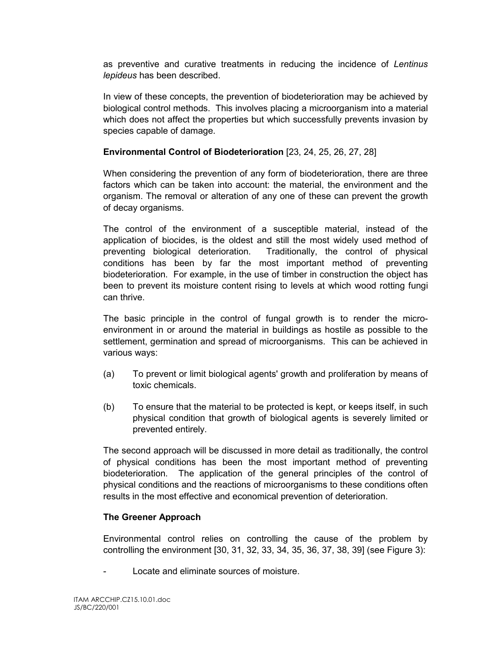as preventive and curative treatments in reducing the incidence of Lentinus lepideus has been described.

In view of these concepts, the prevention of biodeterioration may be achieved by biological control methods. This involves placing a microorganism into a material which does not affect the properties but which successfully prevents invasion by species capable of damage.

#### Environmental Control of Biodeterioration [23, 24, 25, 26, 27, 28]

When considering the prevention of any form of biodeterioration, there are three factors which can be taken into account: the material, the environment and the organism. The removal or alteration of any one of these can prevent the growth of decay organisms.

The control of the environment of a susceptible material, instead of the application of biocides, is the oldest and still the most widely used method of preventing biological deterioration. Traditionally, the control of physical conditions has been by far the most important method of preventing biodeterioration. For example, in the use of timber in construction the object has been to prevent its moisture content rising to levels at which wood rotting fungi can thrive.

The basic principle in the control of fungal growth is to render the microenvironment in or around the material in buildings as hostile as possible to the settlement, germination and spread of microorganisms. This can be achieved in various ways:

- (a) To prevent or limit biological agents' growth and proliferation by means of toxic chemicals.
- (b) To ensure that the material to be protected is kept, or keeps itself, in such physical condition that growth of biological agents is severely limited or prevented entirely.

The second approach will be discussed in more detail as traditionally, the control of physical conditions has been the most important method of preventing biodeterioration. The application of the general principles of the control of physical conditions and the reactions of microorganisms to these conditions often results in the most effective and economical prevention of deterioration.

#### The Greener Approach

Environmental control relies on controlling the cause of the problem by controlling the environment [30, 31, 32, 33, 34, 35, 36, 37, 38, 39] (see Figure 3):

Locate and eliminate sources of moisture.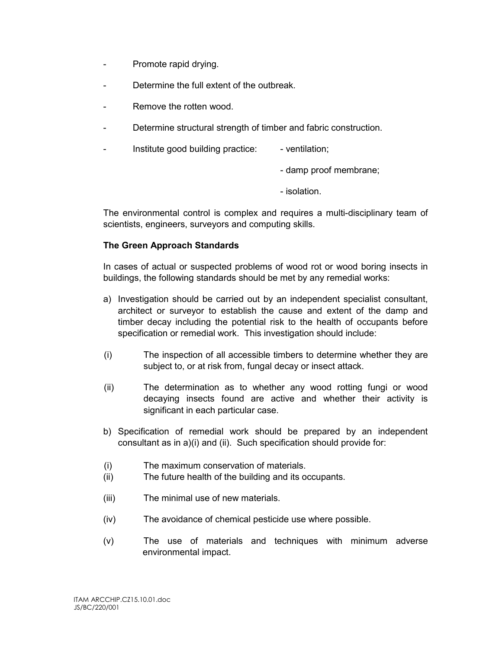- Promote rapid drying.
- Determine the full extent of the outbreak.
- Remove the rotten wood.
- Determine structural strength of timber and fabric construction.
- Institute good building practice: ventilation;
	- damp proof membrane;
	- isolation.

The environmental control is complex and requires a multi-disciplinary team of scientists, engineers, surveyors and computing skills.

#### The Green Approach Standards

In cases of actual or suspected problems of wood rot or wood boring insects in buildings, the following standards should be met by any remedial works:

- a) Investigation should be carried out by an independent specialist consultant, architect or surveyor to establish the cause and extent of the damp and timber decay including the potential risk to the health of occupants before specification or remedial work. This investigation should include:
- (i) The inspection of all accessible timbers to determine whether they are subject to, or at risk from, fungal decay or insect attack.
- (ii) The determination as to whether any wood rotting fungi or wood decaying insects found are active and whether their activity is significant in each particular case.
- b) Specification of remedial work should be prepared by an independent consultant as in a)(i) and (ii). Such specification should provide for:
- (i) The maximum conservation of materials.
- (ii) The future health of the building and its occupants.
- (iii) The minimal use of new materials.
- (iv) The avoidance of chemical pesticide use where possible.
- (v) The use of materials and techniques with minimum adverse environmental impact.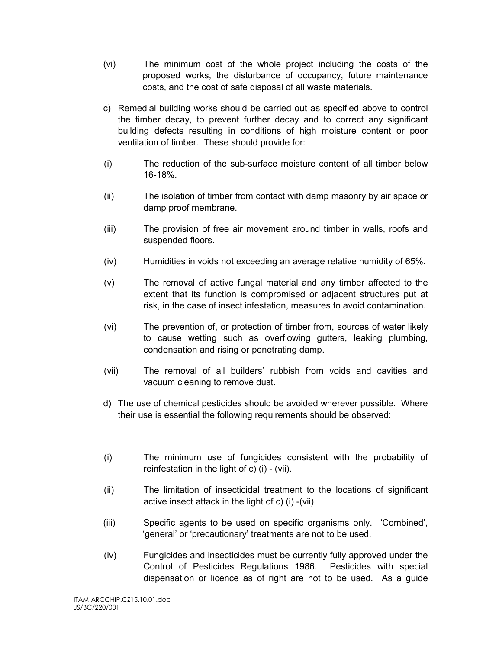- (vi) The minimum cost of the whole project including the costs of the proposed works, the disturbance of occupancy, future maintenance costs, and the cost of safe disposal of all waste materials.
- c) Remedial building works should be carried out as specified above to control the timber decay, to prevent further decay and to correct any significant building defects resulting in conditions of high moisture content or poor ventilation of timber. These should provide for:
- (i) The reduction of the sub-surface moisture content of all timber below 16-18%.
- (ii) The isolation of timber from contact with damp masonry by air space or damp proof membrane.
- (iii) The provision of free air movement around timber in walls, roofs and suspended floors.
- (iv) Humidities in voids not exceeding an average relative humidity of 65%.
- (v) The removal of active fungal material and any timber affected to the extent that its function is compromised or adjacent structures put at risk, in the case of insect infestation, measures to avoid contamination.
- (vi) The prevention of, or protection of timber from, sources of water likely to cause wetting such as overflowing gutters, leaking plumbing, condensation and rising or penetrating damp.
- (vii) The removal of all builders' rubbish from voids and cavities and vacuum cleaning to remove dust.
- d) The use of chemical pesticides should be avoided wherever possible. Where their use is essential the following requirements should be observed:
- (i) The minimum use of fungicides consistent with the probability of reinfestation in the light of c) (i) - (vii).
- (ii) The limitation of insecticidal treatment to the locations of significant active insect attack in the light of c) (i) -(vii).
- (iii) Specific agents to be used on specific organisms only. 'Combined', 'general' or 'precautionary' treatments are not to be used.
- (iv) Fungicides and insecticides must be currently fully approved under the Control of Pesticides Regulations 1986. Pesticides with special dispensation or licence as of right are not to be used. As a guide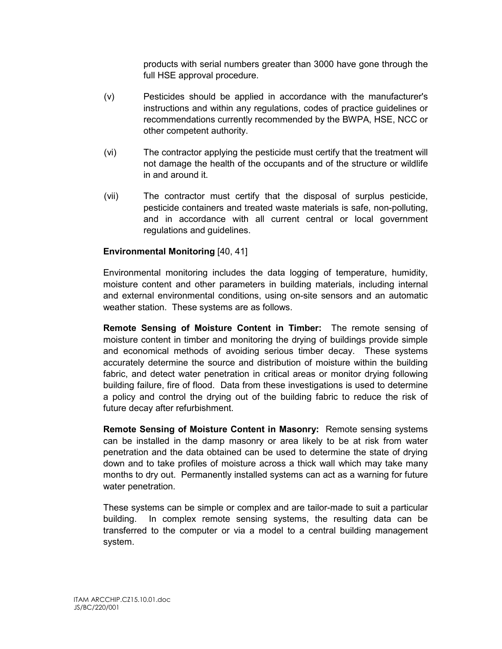products with serial numbers greater than 3000 have gone through the full HSE approval procedure.

- (v) Pesticides should be applied in accordance with the manufacturer's instructions and within any regulations, codes of practice guidelines or recommendations currently recommended by the BWPA, HSE, NCC or other competent authority.
- (vi) The contractor applying the pesticide must certify that the treatment will not damage the health of the occupants and of the structure or wildlife in and around it.
- (vii) The contractor must certify that the disposal of surplus pesticide, pesticide containers and treated waste materials is safe, non-polluting, and in accordance with all current central or local government regulations and guidelines.

#### Environmental Monitoring [40, 41]

Environmental monitoring includes the data logging of temperature, humidity, moisture content and other parameters in building materials, including internal and external environmental conditions, using on-site sensors and an automatic weather station. These systems are as follows.

Remote Sensing of Moisture Content in Timber: The remote sensing of moisture content in timber and monitoring the drying of buildings provide simple and economical methods of avoiding serious timber decay. These systems accurately determine the source and distribution of moisture within the building fabric, and detect water penetration in critical areas or monitor drying following building failure, fire of flood. Data from these investigations is used to determine a policy and control the drying out of the building fabric to reduce the risk of future decay after refurbishment.

Remote Sensing of Moisture Content in Masonry: Remote sensing systems can be installed in the damp masonry or area likely to be at risk from water penetration and the data obtained can be used to determine the state of drying down and to take profiles of moisture across a thick wall which may take many months to dry out. Permanently installed systems can act as a warning for future water penetration.

These systems can be simple or complex and are tailor-made to suit a particular building. In complex remote sensing systems, the resulting data can be transferred to the computer or via a model to a central building management system.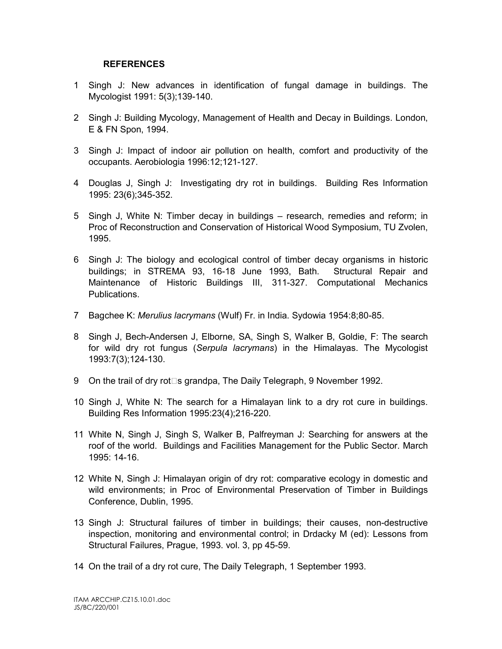#### REFERENCES

- 1 Singh J: New advances in identification of fungal damage in buildings. The Mycologist 1991: 5(3);139-140.
- 2 Singh J: Building Mycology, Management of Health and Decay in Buildings. London, E & FN Spon, 1994.
- 3 Singh J: Impact of indoor air pollution on health, comfort and productivity of the occupants. Aerobiologia 1996:12;121-127.
- 4 Douglas J, Singh J: Investigating dry rot in buildings. Building Res Information 1995: 23(6);345-352.
- 5 Singh J, White N: Timber decay in buildings research, remedies and reform; in Proc of Reconstruction and Conservation of Historical Wood Symposium, TU Zvolen, 1995.
- 6 Singh J: The biology and ecological control of timber decay organisms in historic buildings; in STREMA 93, 16-18 June 1993, Bath. Structural Repair and Maintenance of Historic Buildings III, 311-327. Computational Mechanics Publications.
- 7 Bagchee K: Merulius lacrymans (Wulf) Fr. in India. Sydowia 1954:8;80-85.
- 8 Singh J, Bech-Andersen J, Elborne, SA, Singh S, Walker B, Goldie, F: The search for wild dry rot fungus (Serpula lacrymans) in the Himalayas. The Mycologist 1993:7(3);124-130.
- 9 On the trail of dry rot $\square$ s grandpa, The Daily Telegraph, 9 November 1992.
- 10 Singh J, White N: The search for a Himalayan link to a dry rot cure in buildings. Building Res Information 1995:23(4);216-220.
- 11 White N, Singh J, Singh S, Walker B, Palfreyman J: Searching for answers at the roof of the world. Buildings and Facilities Management for the Public Sector. March 1995: 14-16.
- 12 White N, Singh J: Himalayan origin of dry rot: comparative ecology in domestic and wild environments; in Proc of Environmental Preservation of Timber in Buildings Conference, Dublin, 1995.
- 13 Singh J: Structural failures of timber in buildings; their causes, non-destructive inspection, monitoring and environmental control; in Drdacky M (ed): Lessons from Structural Failures, Prague, 1993. vol. 3, pp 45-59.
- 14 On the trail of a dry rot cure, The Daily Telegraph, 1 September 1993.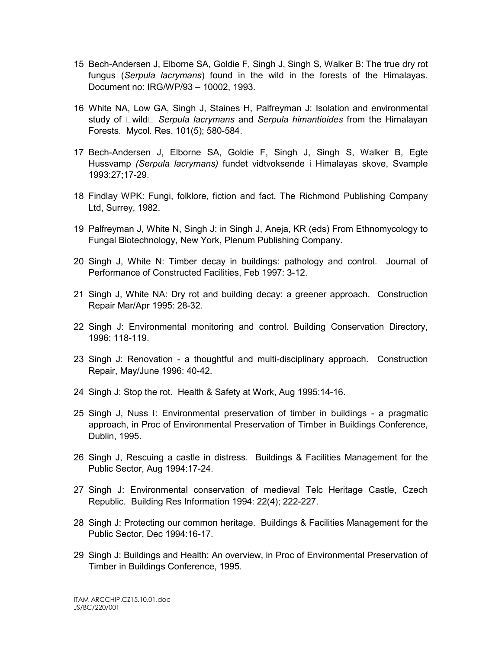- 15 Bech-Andersen J, Elborne SA, Goldie F, Singh J, Singh S, Walker B: The true dry rot fungus (Serpula lacrymans) found in the wild in the forests of the Himalayas. Document no: IRG/WP/93 – 10002, 1993.
- 16 White NA, Low GA, Singh J, Staines H, Palfreyman J: Isolation and environmental study of  $\square$ wild  $\square$  Serpula lacrymans and Serpula himantioides from the Himalayan Forests. Mycol. Res. 101(5); 580-584.
- 17 Bech-Andersen J, Elborne SA, Goldie F, Singh J, Singh S, Walker B, Egte Hussvamp (Serpula lacrymans) fundet vidtvoksende i Himalayas skove, Svample 1993:27;17-29.
- 18 Findlay WPK: Fungi, folklore, fiction and fact. The Richmond Publishing Company Ltd, Surrey, 1982.
- 19 Palfreyman J, White N, Singh J: in Singh J, Aneja, KR (eds) From Ethnomycology to Fungal Biotechnology, New York, Plenum Publishing Company.
- 20 Singh J, White N: Timber decay in buildings: pathology and control. Journal of Performance of Constructed Facilities, Feb 1997: 3-12.
- 21 Singh J, White NA: Dry rot and building decay: a greener approach. Construction Repair Mar/Apr 1995: 28-32.
- 22 Singh J: Environmental monitoring and control. Building Conservation Directory, 1996: 118-119.
- 23 Singh J: Renovation a thoughtful and multi-disciplinary approach. Construction Repair, May/June 1996: 40-42.
- 24 Singh J: Stop the rot. Health & Safety at Work, Aug 1995:14-16.
- 25 Singh J, Nuss I: Environmental preservation of timber in buildings a pragmatic approach, in Proc of Environmental Preservation of Timber in Buildings Conference, Dublin, 1995.
- 26 Singh J, Rescuing a castle in distress. Buildings & Facilities Management for the Public Sector, Aug 1994:17-24.
- 27 Singh J: Environmental conservation of medieval Telc Heritage Castle, Czech Republic. Building Res Information 1994: 22(4); 222-227.
- 28 Singh J: Protecting our common heritage. Buildings & Facilities Management for the Public Sector, Dec 1994:16-17.
- 29 Singh J: Buildings and Health: An overview, in Proc of Environmental Preservation of Timber in Buildings Conference, 1995.